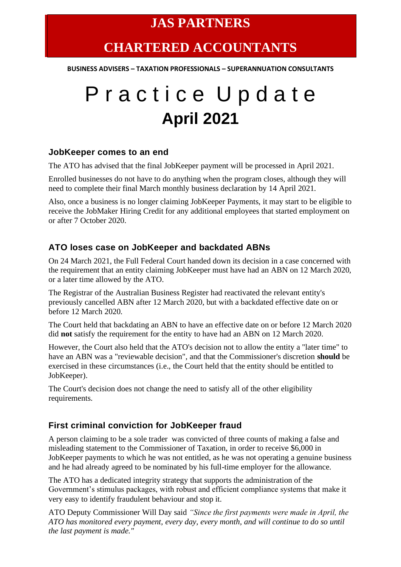## **CHARTERED ACCOUNTANTS**

**BUSINESS ADVISERS – TAXATION PROFESSIONALS – SUPERANNUATION CONSULTANTS**

# P r a c t i c e U p d a t e **April 2021**

#### **JobKeeper comes to an end**

The ATO has advised that the final JobKeeper payment will be processed in April 2021.

Enrolled businesses do not have to do anything when the program closes, although they will need to complete their final March monthly business declaration by 14 April 2021.

Also, once a business is no longer claiming JobKeeper Payments, it may start to be eligible to receive the JobMaker Hiring Credit for any additional employees that started employment on or after 7 October 2020.

#### **ATO loses case on JobKeeper and backdated ABNs**

On 24 March 2021, the Full Federal Court handed down its decision in a case concerned with the requirement that an entity claiming JobKeeper must have had an ABN on 12 March 2020, or a later time allowed by the ATO.

The Registrar of the Australian Business Register had reactivated the relevant entity's previously cancelled ABN after 12 March 2020, but with a backdated effective date on or before 12 March 2020.

The Court held that backdating an ABN to have an effective date on or before 12 March 2020 did **not** satisfy the requirement for the entity to have had an ABN on 12 March 2020.

However, the Court also held that the ATO's decision not to allow the entity a "later time" to have an ABN was a "reviewable decision", and that the Commissioner's discretion **should** be exercised in these circumstances (i.e., the Court held that the entity should be entitled to JobKeeper).

The Court's decision does not change the need to satisfy all of the other eligibility requirements.

#### **First criminal conviction for JobKeeper fraud**

A person claiming to be a sole trader was convicted of three counts of making a false and misleading statement to the Commissioner of Taxation, in order to receive \$6,000 in JobKeeper payments to which he was not entitled, as he was not operating a genuine business and he had already agreed to be nominated by his full-time employer for the allowance.

The ATO has a dedicated integrity strategy that supports the administration of the Government's stimulus packages, with robust and efficient compliance systems that make it very easy to identify fraudulent behaviour and stop it.

ATO Deputy Commissioner Will Day said *"Since the first payments were made in April, the ATO has monitored every payment, every day, every month, and will continue to do so until the last payment is made."*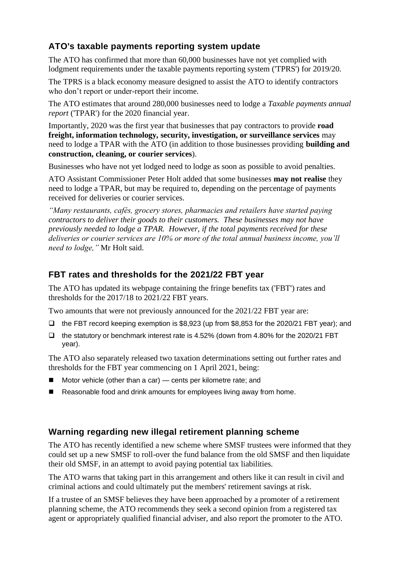### **ATO's taxable payments reporting system update**

The ATO has confirmed that more than 60,000 businesses have not yet complied with lodgment requirements under the taxable payments reporting system ('TPRS') for 2019/20.

The TPRS is a black economy measure designed to assist the ATO to identify contractors who don't report or under-report their income.

The ATO estimates that around 280,000 businesses need to lodge a *Taxable payments annual report* ('TPAR') for the 2020 financial year.

Importantly, 2020 was the first year that businesses that pay contractors to provide **road freight, information technology, security, investigation, or surveillance services** may need to lodge a TPAR with the ATO (in addition to those businesses providing **building and construction, cleaning, or courier services**).

Businesses who have not yet lodged need to lodge as soon as possible to avoid penalties.

ATO Assistant Commissioner Peter Holt added that some businesses **may not realise** they need to lodge a TPAR, but may be required to, depending on the percentage of payments received for deliveries or courier services.

*"Many restaurants, cafés, grocery stores, pharmacies and retailers have started paying contractors to deliver their goods to their customers. These businesses may not have previously needed to lodge a TPAR. However, if the total payments received for these deliveries or courier services are 10% or more of the total annual business income, you'll need to lodge,"* Mr Holt said.

#### **FBT rates and thresholds for the 2021/22 FBT year**

The ATO has updated its webpage containing the fringe benefits tax ('FBT') rates and thresholds for the 2017/18 to 2021/22 FBT years.

Two amounts that were not previously announced for the 2021/22 FBT year are:

- ❑ the FBT record keeping exemption is \$8,923 (up from \$8,853 for the 2020/21 FBT year); and
- ❑ the statutory or benchmark interest rate is 4.52% (down from 4.80% for the 2020/21 FBT year).

The ATO also separately released two taxation determinations setting out further rates and thresholds for the FBT year commencing on 1 April 2021, being:

- Motor vehicle (other than a car) cents per kilometre rate; and
- Reasonable food and drink amounts for employees living away from home.

#### **Warning regarding new illegal retirement planning scheme**

The ATO has recently identified a new scheme where SMSF trustees were informed that they could set up a new SMSF to roll-over the fund balance from the old SMSF and then liquidate their old SMSF, in an attempt to avoid paying potential tax liabilities.

The ATO warns that taking part in this arrangement and others like it can result in civil and criminal actions and could ultimately put the members' retirement savings at risk.

If a trustee of an SMSF believes they have been approached by a promoter of a retirement planning scheme, the ATO recommends they seek a second opinion from a registered tax agent or appropriately qualified financial adviser, and also report the promoter to the ATO.